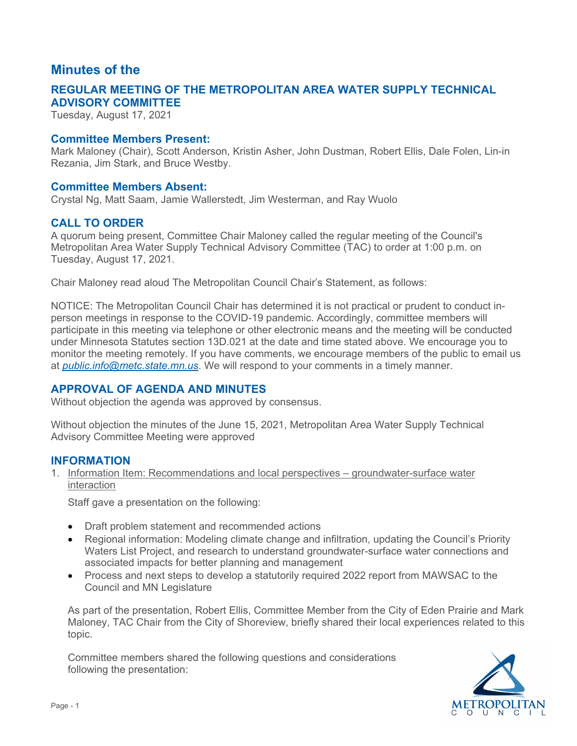# **Minutes of the**

# **ADVISORY COMMITTEE REGULAR MEETING OF THE METROPOLITAN AREA WATER SUPPLY TECHNICAL**

Tuesday, August 17, 2021

### **Committee Members Present:**

Mark Maloney (Chair), Scott Anderson, Kristin Asher, John Dustman, Robert Ellis, Dale Folen, Lin-in Rezania, Jim Stark, and Bruce Westby.

### **Committee Members Absent:**

Crystal Ng, Matt Saam, Jamie Wallerstedt, Jim Westerman, and Ray Wuolo

## **CALL TO ORDER**

 A quorum being present, Committee Chair Maloney called the regular meeting of the Council's Metropolitan Area Water Supply Technical Advisory Committee (TAC) to order at 1:00 p.m. on Tuesday, August 17, 2021.

Chair Maloney read aloud The Metropolitan Council Chair's Statement, as follows:

NOTICE: The Metropolitan Council Chair has determined it is not practical or prudent to conduct inperson meetings in response to the COVID-19 pandemic. Accordingly, committee members will participate in this meeting via telephone or other electronic means and the meeting will be conducted under Minnesota Statutes section 13D.021 at the date and time stated above. We encourage you to monitor the meeting remotely. If you have comments, we encourage members of the public to email us at*[public.info@metc.state.mn.us](mailto:public.info@metc.state.mn.us)*. We will respond to your comments in a timely manner.

## **APPROVAL OF AGENDA AND MINUTES**

Without objection the agenda was approved by consensus.

 Without objection the minutes of the June 15, 2021, Metropolitan Area Water Supply Technical Advisory Committee Meeting were approved

## **INFORMATION**

1. Information Item: Recommendations and local perspectives – groundwater-surface water interaction

Staff gave a presentation on the following:

- Draft problem statement and recommended actions
- Regional information: Modeling climate change and infiltration, updating the Council's Priority Waters List Project, and research to understand groundwater-surface water connections and associated impacts for better planning and management
- Process and next steps to develop a statutorily required 2022 report from MAWSAC to the Council and MN Legislature

As part of the presentation, Robert Ellis, Committee Member from the City of Eden Prairie and Mark Maloney, TAC Chair from the City of Shoreview, briefly shared their local experiences related to this topic.

Committee members shared the following questions and considerations following the presentation:

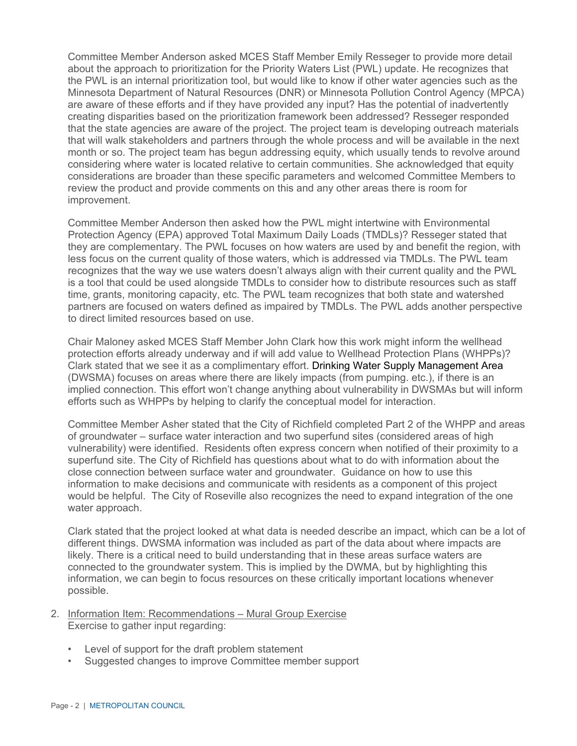Minnesota Department of Natural Resources (DNR) or Minnesota Pollution Control Agency (MPCA) creating disparities based on the prioritization framework been addressed? Resseger responded Committee Member Anderson asked MCES Staff Member Emily Resseger to provide more detail about the approach to prioritization for the Priority Waters List (PWL) update. He recognizes that the PWL is an internal prioritization tool, but would like to know if other water agencies such as the are aware of these efforts and if they have provided any input? Has the potential of inadvertently that the state agencies are aware of the project. The project team is developing outreach materials that will walk stakeholders and partners through the whole process and will be available in the next month or so. The project team has begun addressing equity, which usually tends to revolve around considering where water is located relative to certain communities. She acknowledged that equity considerations are broader than these specific parameters and welcomed Committee Members to review the product and provide comments on this and any other areas there is room for improvement.

 Committee Member Anderson then asked how the PWL might intertwine with Environmental Protection Agency (EPA) approved Total Maximum Daily Loads (TMDLs)? Resseger stated that they are complementary. The PWL focuses on how waters are used by and benefit the region, with less focus on the current quality of those waters, which is addressed via TMDLs. The PWL team recognizes that the way we use waters doesn't always align with their current quality and the PWL is a tool that could be used alongside TMDLs to consider how to distribute resources such as staff time, grants, monitoring capacity, etc. The PWL team recognizes that both state and watershed partners are focused on waters defined as impaired by TMDLs. The PWL adds another perspective to direct limited resources based on use.

 Chair Maloney asked MCES Staff Member John Clark how this work might inform the wellhead protection efforts already underway and if will add value to Wellhead Protection Plans (WHPPs)? (DWSMA) focuses on areas where there are likely impacts (from pumping. etc.), if there is an implied connection. This effort won't change anything about vulnerability in DWSMAs but will inform efforts such as WHPPs by helping to clarify the conceptual model for interaction. Clark stated that we see it as a complimentary effort. Drinking Water Supply Management Area

 Committee Member Asher stated that the City of Richfield completed Part 2 of the WHPP and areas of groundwater – surface water interaction and two superfund sites (considered areas of high vulnerability) were identified. Residents often express concern when notified of their proximity to a superfund site. The City of Richfield has questions about what to do with information about the close connection between surface water and groundwater. Guidance on how to use this would be helpful. The City of Roseville also recognizes the need to expand integration of the one water approach. information to make decisions and communicate with residents as a component of this project

water approach.<br>Clark stated that the project looked at what data is needed describe an impact, which can be a lot of different things. DWSMA information was included as part of the data about where impacts are likely. There is a critical need to build understanding that in these areas surface waters are connected to the groundwater system. This is implied by the DWMA, but by highlighting this information, we can begin to focus resources on these critically important locations whenever possible.

- 2. Information Item: Recommendations Mural Group Exercise Exercise to gather input regarding:
	- Level of support for the draft problem statement
	- Suggested changes to improve Committee member support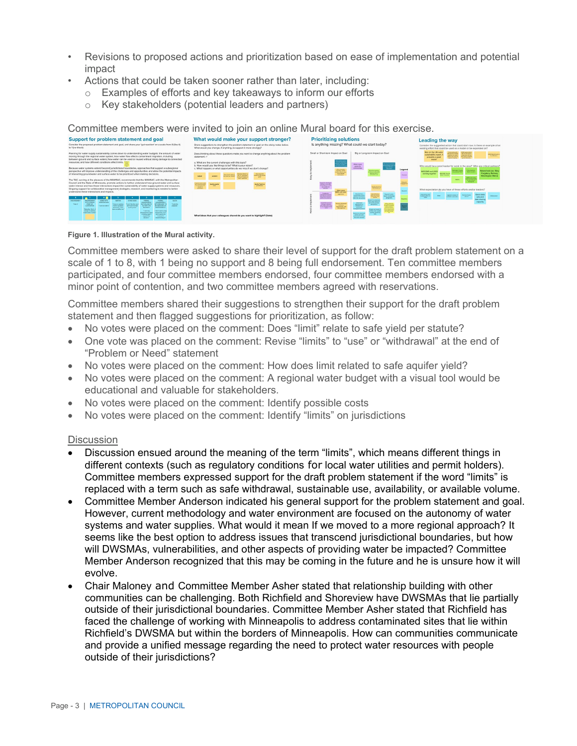- Revisions to proposed actions and prioritization based on ease of implementation and potential impact
- Actions that could be taken sooner rather than later, including:
	- Examples of efforts and key takeaways to inform our efforts  $\circ$
	- Key stakeholders (potential leaders and partners)  $\circ$

Committee members were invited to join an online Mural board for this exercise.



#### Figure 1. Illustration of the Mural activity.

Committee members were asked to share their level of support for the draft problem statement on a scale of 1 to 8, with 1 being no support and 8 being full endorsement. Ten committee members participated, and four committee members endorsed, four committee members endorsed with a minor point of contention, and two committee members agreed with reservations.

Committee members shared their suggestions to strengthen their support for the draft problem statement and then flagged suggestions for prioritization, as follow:

- No votes were placed on the comment: Does "limit" relate to safe vield per statute?  $\bullet$
- One vote was placed on the comment: Revise "limits" to "use" or "withdrawal" at the end of  $\bullet$ "Problem or Need" statement
- No votes were placed on the comment: How does limit related to safe aquifer yield?
- No votes were placed on the comment: A regional water budget with a visual tool would be  $\bullet$ educational and valuable for stakeholders.
- No votes were placed on the comment: Identify possible costs
- No votes were placed on the comment: Identify "limits" on jurisdictions

### **Discussion**

- Discussion ensued around the meaning of the term "limits", which means different things in different contexts (such as regulatory conditions for local water utilities and permit holders). Committee members expressed support for the draft problem statement if the word "limits" is replaced with a term such as safe withdrawal, sustainable use, availability, or available volume.
- Committee Member Anderson indicated his general support for the problem statement and goal. However, current methodology and water environment are focused on the autonomy of water systems and water supplies. What would it mean If we moved to a more regional approach? It seems like the best option to address issues that transcend jurisdictional boundaries, but how will DWSMAs, vulnerabilities, and other aspects of providing water be impacted? Committee Member Anderson recognized that this may be coming in the future and he is unsure how it will evolve
- Chair Maloney and Committee Member Asher stated that relationship building with other communities can be challenging. Both Richfield and Shoreview have DWSMAs that lie partially outside of their jurisdictional boundaries. Committee Member Asher stated that Richfield has faced the challenge of working with Minneapolis to address contaminated sites that lie within Richfield's DWSMA but within the borders of Minneapolis. How can communities communicate and provide a unified message regarding the need to protect water resources with people outside of their jurisdictions?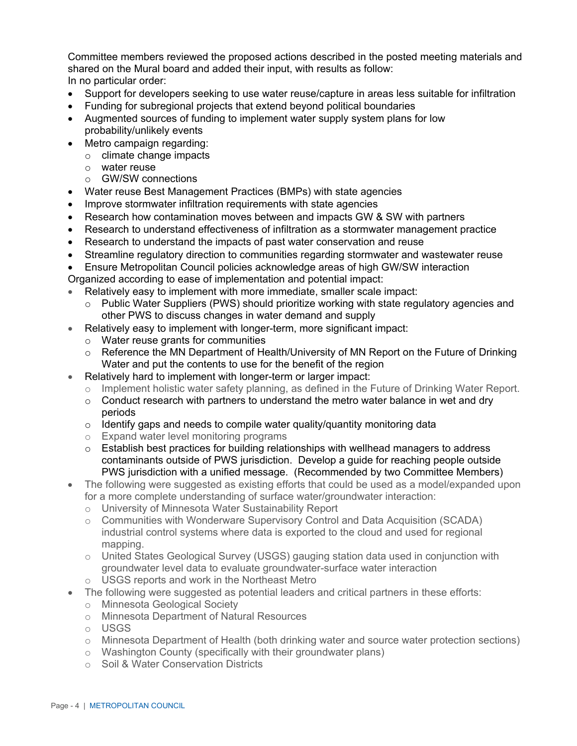In no particular order: Committee members reviewed the proposed actions described in the posted meeting materials and shared on the Mural board and added their input, with results as follow:

- Support for developers seeking to use water reuse/capture in areas less suitable for infiltration
- Funding for subregional projects that extend beyond political boundaries
- Augmented sources of funding to implement water supply system plans for low probability/unlikely events
- Metro campaign regarding:
	- o climate change impacts
	- o water reuse
	- $\circ$  GW/SW connections
- Water reuse Best Management Practices (BMPs) with state agencies
- Improve stormwater infiltration requirements with state agencies
- Research how contamination moves between and impacts GW & SW with partners
- Research to understand effectiveness of infiltration as a stormwater management practice
- Research to understand the impacts of past water conservation and reuse
- Streamline regulatory direction to communities regarding stormwater and wastewater reuse
- Ensure Metropolitan Council policies acknowledge areas of high GW/SW interaction
- Organized according to ease of implementation and potential impact:
- Relatively easy to implement with more immediate, smaller scale impact:
	- $\circ$  Public Water Suppliers (PWS) should prioritize working with state regulatory agencies and other PWS to discuss changes in water demand and supply
- Relatively easy to implement with longer-term, more significant impact:
	- o Water reuse grants for communities
	- o Reference the MN Department of Health/University of MN Report on the Future of Drinking Water and put the contents to use for the benefit of the region
- Relatively hard to implement with longer-term or larger impact:
	- o Implement holistic water safety planning, as defined in the Future of Drinking Water Report.
	- periods  $\circ$  Conduct research with partners to understand the metro water balance in wet and dry
	- $\circ$  Identify gaps and needs to compile water quality/quantity monitoring data
	- o Expand water level monitoring programs
	- contaminants outside of PWS jurisdiction. Develop a guide for reaching people outside PWS jurisdiction with a unified message. (Recommended by two Committee Members)  $\circ$  Establish best practices for building relationships with wellhead managers to address
- The following were suggested as existing efforts that could be used as a model/expanded upon for a more complete understanding of surface water/groundwater interaction:
	- o University of Minnesota Water Sustainability Report
	- industrial control systems where data is exported to the cloud and used for regional  $\circ$  Communities with Wonderware Supervisory Control and Data Acquisition (SCADA) mapping.
	- $\circ$  United States Geological Survey (USGS) gauging station data used in conjunction with groundwater level data to evaluate groundwater-surface water interaction
	- $\circ$  USGS reports and work in the Northeast Metro
- The following were suggested as potential leaders and critical partners in these efforts:
	- o Minnesota Geological Society
	- o Minnesota Department of Natural Resources
	- o USGS
	- o Minnesota Department of Health (both drinking water and source water protection sections)
	- o Washington County (specifically with their groundwater plans)
	- o Soil & Water Conservation Districts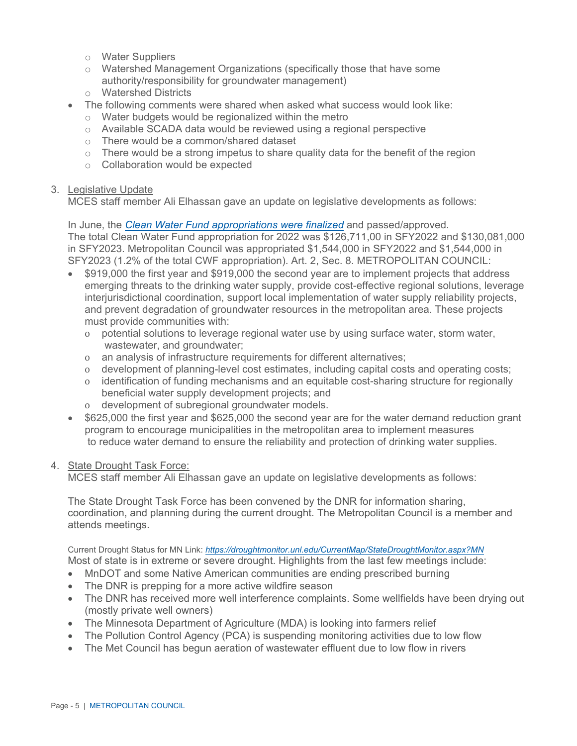- o Water Suppliers
- $\circ$  Watershed Management Organizations (specifically those that have some authority/responsibility for groundwater management)
- o Watershed Districts
- The following comments were shared when asked what success would look like:
	- $\circ$  Water budgets would be regionalized within the metro
	- o Available SCADA data would be reviewed using a regional perspective
	- o There would be a common/shared dataset
	- $\circ$  There would be a strong impetus to share quality data for the benefit of the region
	- o Collaboration would be expected

## 3. Legislative Update

MCES staff member Ali Elhassan gave an update on legislative developments as follows:

In June, the*[Clean Water Fund appropriations were finalized](https://www.revisor.mn.gov/laws/2021/1/Session+Law/Chapter/1/)* and passed/approved. The total Clean Water Fund appropriation for 2022 was \$126,711,00 in SFY2022 and \$130,081,000 in SFY2023. Metropolitan Council was appropriated \$1,544,000 in SFY2022 and \$1,544,000 in SFY2023 (1.2% of the total CWF appropriation). Art. 2, Sec. 8. METROPOLITAN COUNCIL:

- \$919,000 the first year and \$919,000 the second year are to implement projects that address emerging threats to the drinking water supply, provide cost-effective regional solutions, leverage interjurisdictional coordination, support local implementation of water supply reliability projects, and prevent degradation of groundwater resources in the metropolitan area. These projects must provide communities with:
	- o potential solutions to leverage regional water use by using surface water, storm water, wastewater, and groundwater;
	- o an analysis of infrastructure requirements for different alternatives;
	- o development of planning-level cost estimates, including capital costs and operating costs;
	- o identification of funding mechanisms and an equitable cost-sharing structure for regionally beneficial water supply development projects; and
	- o development of subregional groundwater models.
- \$625,000 the first year and \$625,000 the second year are for the water demand reduction grant program to encourage municipalities in the metropolitan area to implement measures to reduce water demand to ensure the reliability and protection of drinking water supplies.

# 4. State Drought Task Force:

MCES staff member Ali Elhassan gave an update on legislative developments as follows:

The State Drought Task Force has been convened by the DNR for information sharing, coordination, and planning during the current drought. The Metropolitan Council is a member and attends meetings.

Current Drought Status for MN Link: *<https://droughtmonitor.unl.edu/CurrentMap/StateDroughtMonitor.aspx?MN>* Most of state is in extreme or severe drought. Highlights from the last few meetings include:

- MnDOT and some Native American communities are ending prescribed burning
- The DNR is prepping for a more active wildfire season
- The DNR has received more well interference complaints. Some wellfields have been drying out (mostly private well owners)
- The Minnesota Department of Agriculture (MDA) is looking into farmers relief
- The Pollution Control Agency (PCA) is suspending monitoring activities due to low flow
- The Met Council has begun aeration of wastewater effluent due to low flow in rivers